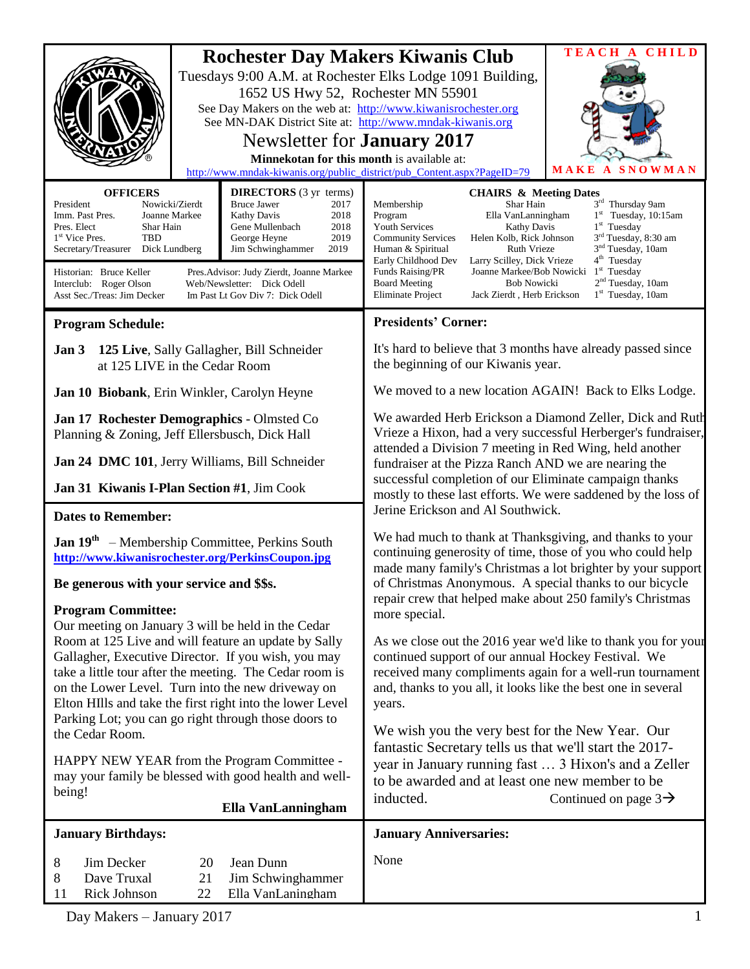|                                                                                                                                                                                                                                                                                                                                                                                                                                                                                                          | TEACH A CHILD<br><b>Rochester Day Makers Kiwanis Club</b><br>Tuesdays 9:00 A.M. at Rochester Elks Lodge 1091 Building,<br>1652 US Hwy 52, Rochester MN 55901<br>See Day Makers on the web at: http://www.kiwanisrochester.org<br>See MN-DAK District Site at: http://www.mndak-kiwanis.org<br>Newsletter for <b>January</b> 2017<br>Minnekotan for this month is available at:<br>MAKE A SNOWMAN<br>http://www.mndak-kiwanis.org/public_district/pub_Content.aspx?PageID=79 |                                                                                                                                                                                                                                                                                                                                                                                                                                                                                                                                                                                                                                                                                                                               |                                                                                                                                                                                                               |
|----------------------------------------------------------------------------------------------------------------------------------------------------------------------------------------------------------------------------------------------------------------------------------------------------------------------------------------------------------------------------------------------------------------------------------------------------------------------------------------------------------|-----------------------------------------------------------------------------------------------------------------------------------------------------------------------------------------------------------------------------------------------------------------------------------------------------------------------------------------------------------------------------------------------------------------------------------------------------------------------------|-------------------------------------------------------------------------------------------------------------------------------------------------------------------------------------------------------------------------------------------------------------------------------------------------------------------------------------------------------------------------------------------------------------------------------------------------------------------------------------------------------------------------------------------------------------------------------------------------------------------------------------------------------------------------------------------------------------------------------|---------------------------------------------------------------------------------------------------------------------------------------------------------------------------------------------------------------|
|                                                                                                                                                                                                                                                                                                                                                                                                                                                                                                          |                                                                                                                                                                                                                                                                                                                                                                                                                                                                             |                                                                                                                                                                                                                                                                                                                                                                                                                                                                                                                                                                                                                                                                                                                               |                                                                                                                                                                                                               |
| <b>OFFICERS</b><br><b>DIRECTORS</b> (3 yr terms)<br>President<br>Nowicki/Zierdt<br><b>Bruce Jawer</b><br>2017<br>2018<br>Imm. Past Pres.<br>Joanne Markee<br>Kathy Davis<br>2018<br>Pres. Elect<br>Shar Hain<br>Gene Mullenbach<br><b>TBD</b><br>2019<br>1 <sup>st</sup> Vice Pres.<br>George Heyne<br>2019<br>Secretary/Treasurer<br>Dick Lundberg<br>Jim Schwinghammer<br>Historian: Bruce Keller<br>Pres. Advisor: Judy Zierdt, Joanne Markee<br>Interclub: Roger Olson<br>Web/Newsletter: Dick Odell |                                                                                                                                                                                                                                                                                                                                                                                                                                                                             | <b>CHAIRS &amp; Meeting Dates</b><br>Shar Hain<br>Membership<br>Program<br>Ella VanLanningham<br><b>Youth Services</b><br><b>Kathy Davis</b><br><b>Community Services</b><br>Helen Kolb, Rick Johnson<br>Ruth Vrieze<br>Human & Spiritual<br>Early Childhood Dev<br>Larry Scilley, Dick Vrieze<br>Joanne Markee/Bob Nowicki<br>Funds Raising/PR<br><b>Board Meeting</b><br><b>Bob Nowicki</b>                                                                                                                                                                                                                                                                                                                                 | 3rd Thursday 9am<br>$1st$ Tuesday, 10:15am<br>$1st$ Tuesday<br>3 <sup>rd</sup> Tuesday, 8:30 am<br>3 <sup>nd</sup> Tuesday, 10am<br>4 <sup>th</sup> Tuesday<br>$1st$ Tuesday<br>2 <sup>nd</sup> Tuesday, 10am |
| Asst Sec./Treas: Jim Decker<br>Im Past Lt Gov Div 7: Dick Odell                                                                                                                                                                                                                                                                                                                                                                                                                                          |                                                                                                                                                                                                                                                                                                                                                                                                                                                                             | <b>Eliminate Project</b><br>1 <sup>st</sup> Tuesday, 10am<br>Jack Zierdt, Herb Erickson                                                                                                                                                                                                                                                                                                                                                                                                                                                                                                                                                                                                                                       |                                                                                                                                                                                                               |
| <b>Program Schedule:</b>                                                                                                                                                                                                                                                                                                                                                                                                                                                                                 |                                                                                                                                                                                                                                                                                                                                                                                                                                                                             | <b>Presidents' Corner:</b>                                                                                                                                                                                                                                                                                                                                                                                                                                                                                                                                                                                                                                                                                                    |                                                                                                                                                                                                               |
| 125 Live, Sally Gallagher, Bill Schneider<br>Jan 3<br>at 125 LIVE in the Cedar Room                                                                                                                                                                                                                                                                                                                                                                                                                      |                                                                                                                                                                                                                                                                                                                                                                                                                                                                             | It's hard to believe that 3 months have already passed since<br>the beginning of our Kiwanis year.                                                                                                                                                                                                                                                                                                                                                                                                                                                                                                                                                                                                                            |                                                                                                                                                                                                               |
| Jan 10 Biobank, Erin Winkler, Carolyn Heyne                                                                                                                                                                                                                                                                                                                                                                                                                                                              |                                                                                                                                                                                                                                                                                                                                                                                                                                                                             | We moved to a new location AGAIN! Back to Elks Lodge.                                                                                                                                                                                                                                                                                                                                                                                                                                                                                                                                                                                                                                                                         |                                                                                                                                                                                                               |
| Jan 17 Rochester Demographics - Olmsted Co<br>Planning & Zoning, Jeff Ellersbusch, Dick Hall<br>Jan 24 DMC 101, Jerry Williams, Bill Schneider                                                                                                                                                                                                                                                                                                                                                           |                                                                                                                                                                                                                                                                                                                                                                                                                                                                             | We awarded Herb Erickson a Diamond Zeller, Dick and Ruth<br>Vrieze a Hixon, had a very successful Herberger's fundraiser,<br>attended a Division 7 meeting in Red Wing, held another<br>fundraiser at the Pizza Ranch AND we are nearing the<br>successful completion of our Eliminate campaign thanks<br>mostly to these last efforts. We were saddened by the loss of<br>Jerine Erickson and Al Southwick.<br>We had much to thank at Thanksgiving, and thanks to your<br>continuing generosity of time, those of you who could help<br>made many family's Christmas a lot brighter by your support<br>of Christmas Anonymous. A special thanks to our bicycle<br>repair crew that helped make about 250 family's Christmas |                                                                                                                                                                                                               |
| Jan 31 Kiwanis I-Plan Section #1, Jim Cook                                                                                                                                                                                                                                                                                                                                                                                                                                                               |                                                                                                                                                                                                                                                                                                                                                                                                                                                                             |                                                                                                                                                                                                                                                                                                                                                                                                                                                                                                                                                                                                                                                                                                                               |                                                                                                                                                                                                               |
| <b>Dates to Remember:</b>                                                                                                                                                                                                                                                                                                                                                                                                                                                                                |                                                                                                                                                                                                                                                                                                                                                                                                                                                                             |                                                                                                                                                                                                                                                                                                                                                                                                                                                                                                                                                                                                                                                                                                                               |                                                                                                                                                                                                               |
| <b>Jan 19th</b> – Membership Committee, Perkins South<br>http://www.kiwanisrochester.org/PerkinsCoupon.jpg                                                                                                                                                                                                                                                                                                                                                                                               |                                                                                                                                                                                                                                                                                                                                                                                                                                                                             |                                                                                                                                                                                                                                                                                                                                                                                                                                                                                                                                                                                                                                                                                                                               |                                                                                                                                                                                                               |
| Be generous with your service and \$\$s.                                                                                                                                                                                                                                                                                                                                                                                                                                                                 |                                                                                                                                                                                                                                                                                                                                                                                                                                                                             |                                                                                                                                                                                                                                                                                                                                                                                                                                                                                                                                                                                                                                                                                                                               |                                                                                                                                                                                                               |
| <b>Program Committee:</b><br>Our meeting on January 3 will be held in the Cedar<br>Room at 125 Live and will feature an update by Sally<br>Gallagher, Executive Director. If you wish, you may<br>take a little tour after the meeting. The Cedar room is<br>on the Lower Level. Turn into the new driveway on<br>Elton HIlls and take the first right into the lower Level<br>Parking Lot; you can go right through those doors to<br>the Cedar Room.                                                   |                                                                                                                                                                                                                                                                                                                                                                                                                                                                             | more special.<br>As we close out the 2016 year we'd like to thank you for your<br>continued support of our annual Hockey Festival. We<br>received many compliments again for a well-run tournament<br>and, thanks to you all, it looks like the best one in several<br>years.<br>We wish you the very best for the New Year. Our                                                                                                                                                                                                                                                                                                                                                                                              |                                                                                                                                                                                                               |
| HAPPY NEW YEAR from the Program Committee -<br>may your family be blessed with good health and well-<br>being!<br>Ella VanLanningham                                                                                                                                                                                                                                                                                                                                                                     |                                                                                                                                                                                                                                                                                                                                                                                                                                                                             | fantastic Secretary tells us that we'll start the 2017-<br>year in January running fast  3 Hixon's and a Zeller<br>to be awarded and at least one new member to be<br>inducted.<br>Continued on page $3\rightarrow$                                                                                                                                                                                                                                                                                                                                                                                                                                                                                                           |                                                                                                                                                                                                               |
| <b>January Birthdays:</b>                                                                                                                                                                                                                                                                                                                                                                                                                                                                                |                                                                                                                                                                                                                                                                                                                                                                                                                                                                             | <b>January Anniversaries:</b>                                                                                                                                                                                                                                                                                                                                                                                                                                                                                                                                                                                                                                                                                                 |                                                                                                                                                                                                               |
| Jim Decker<br>8<br>20<br>8<br>Dave Truxal<br>21<br>Rick Johnson<br>22<br>11                                                                                                                                                                                                                                                                                                                                                                                                                              | Jean Dunn<br>Jim Schwinghammer<br>Ella VanLaningham                                                                                                                                                                                                                                                                                                                                                                                                                         | None                                                                                                                                                                                                                                                                                                                                                                                                                                                                                                                                                                                                                                                                                                                          |                                                                                                                                                                                                               |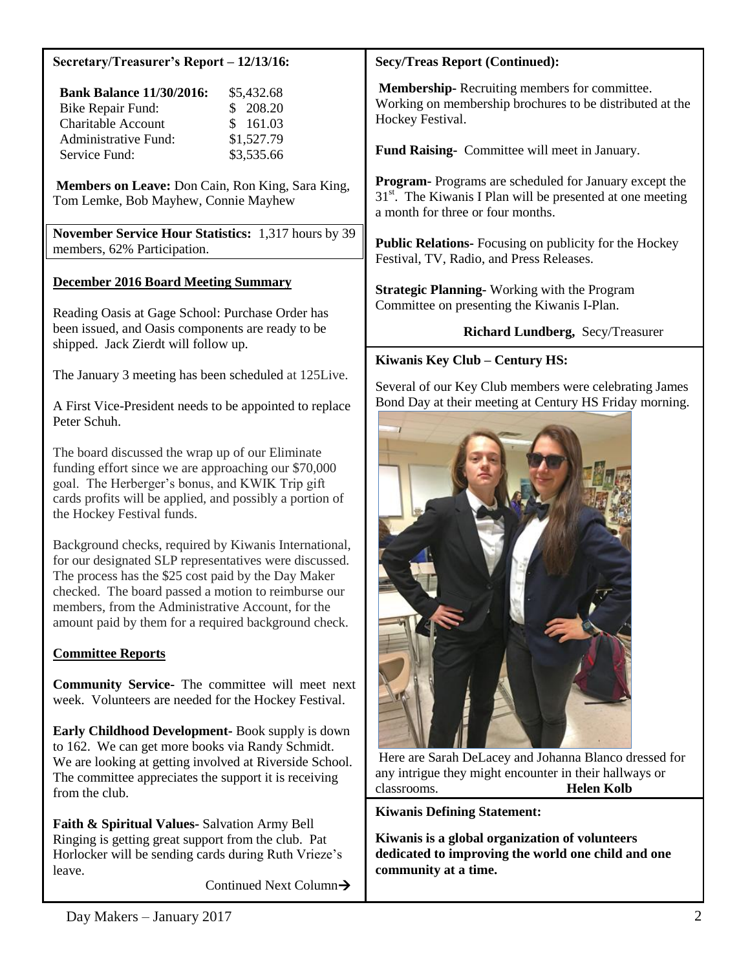#### **Secretary/Treasurer's Report – 12/13/16:**

| <b>Bank Balance 11/30/2016:</b> | \$5,432.68 |
|---------------------------------|------------|
| Bike Repair Fund:               | \$208.20   |
| <b>Charitable Account</b>       | \$161.03   |
| Administrative Fund:            | \$1,527.79 |
| Service Fund:                   | \$3,535.66 |

**Members on Leave:** Don Cain, Ron King, Sara King, Tom Lemke, Bob Mayhew, Connie Mayhew

**November Service Hour Statistics:** 1,317 hours by 39 members, 62% Participation.

#### **December 2016 Board Meeting Summary**

Reading Oasis at Gage School: Purchase Order has been issued, and Oasis components are ready to be shipped. Jack Zierdt will follow up.

The January 3 meeting has been scheduled at 125Live.

A First Vice-President needs to be appointed to replace Peter Schuh.

The board discussed the wrap up of our Eliminate funding effort since we are approaching our \$70,000 goal. The Herberger's bonus, and KWIK Trip gift cards profits will be applied, and possibly a portion of the Hockey Festival funds.

Background checks, required by Kiwanis International, for our designated SLP representatives were discussed. The process has the \$25 cost paid by the Day Maker checked. The board passed a motion to reimburse our members, from the Administrative Account, for the amount paid by them for a required background check.

### **Committee Reports**

**Community Service-** The committee will meet next week. Volunteers are needed for the Hockey Festival.

**Early Childhood Development-** Book supply is down to 162. We can get more books via Randy Schmidt. We are looking at getting involved at Riverside School. The committee appreciates the support it is receiving from the club.

**Faith & Spiritual Values-** Salvation Army Bell Ringing is getting great support from the club. Pat Horlocker will be sending cards during Ruth Vrieze's leave.

Continued Next Column

#### **Secy/Treas Report (Continued):**

**Membership-** Recruiting members for committee. Working on membership brochures to be distributed at the Hockey Festival.

**Fund Raising-** Committee will meet in January.

**Program-** Programs are scheduled for January except the  $31<sup>st</sup>$ . The Kiwanis I Plan will be presented at one meeting a month for three or four months.

**Public Relations-** Focusing on publicity for the Hockey Festival, TV, Radio, and Press Releases.

**Strategic Planning-** Working with the Program Committee on presenting the Kiwanis I-Plan.

**Richard Lundberg,** Secy/Treasurer

#### **Kiwanis Key Club – Century HS:**

Several of our Key Club members were celebrating James Bond Day at their meeting at Century HS Friday morning.



Here are Sarah DeLacey and Johanna Blanco dressed for any intrigue they might encounter in their hallways or classrooms. **Helen Kolb**

**Kiwanis Defining Statement:**

**Kiwanis is a global organization of volunteers dedicated to improving the world one child and one community at a time.**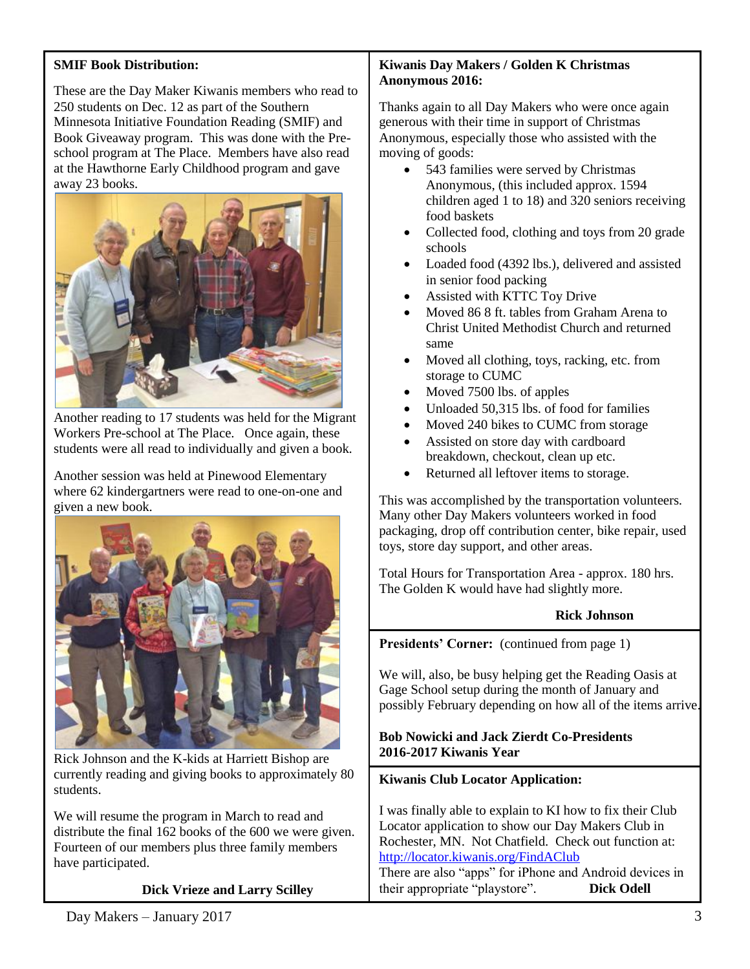# **SMIF Book Distribution:**

These are the Day Maker Kiwanis members who read to 250 students on Dec. 12 as part of the Southern Minnesota Initiative Foundation Reading (SMIF) and Book Giveaway program. This was done with the Preschool program at The Place. Members have also read at the Hawthorne Early Childhood program and gave away 23 books.



Another reading to 17 students was held for the Migrant Workers Pre-school at The Place. Once again, these students were all read to individually and given a book.

Another session was held at Pinewood Elementary where 62 kindergartners were read to one-on-one and given a new book.



Rick Johnson and the K-kids at Harriett Bishop are currently reading and giving books to approximately 80 students.

We will resume the program in March to read and distribute the final 162 books of the 600 we were given. Fourteen of our members plus three family members have participated.

### **Dick Vrieze and Larry Scilley**

#### **Kiwanis Day Makers / Golden K Christmas Anonymous 2016:**

Thanks again to all Day Makers who were once again generous with their time in support of Christmas Anonymous, especially those who assisted with the moving of goods:

- 543 families were served by Christmas Anonymous, (this included approx. 1594 children aged 1 to 18) and 320 seniors receiving food baskets
- Collected food, clothing and toys from 20 grade schools
- Loaded food (4392 lbs.), delivered and assisted in senior food packing
- Assisted with KTTC Toy Drive
- Moved 86 8 ft. tables from Graham Arena to Christ United Methodist Church and returned same
- Moved all clothing, toys, racking, etc. from storage to CUMC
- Moved 7500 lbs. of apples
- Unloaded 50,315 lbs. of food for families
- Moved 240 bikes to CUMC from storage
- Assisted on store day with cardboard breakdown, checkout, clean up etc.
- Returned all leftover items to storage.

This was accomplished by the transportation volunteers. Many other Day Makers volunteers worked in food packaging, drop off contribution center, bike repair, used toys, store day support, and other areas.

Total Hours for Transportation Area - approx. 180 hrs. The Golden K would have had slightly more.

# **Rick Johnson**

**Presidents' Corner:** (continued from page 1)

We will, also, be busy helping get the Reading Oasis at Gage School setup during the month of January and possibly February depending on how all of the items arrive.

# **Bob Nowicki and Jack Zierdt Co-Presidents 2016-2017 Kiwanis Year**

### **Kiwanis Club Locator Application:**

I was finally able to explain to KI how to fix their Club Locator application to show our Day Makers Club in Rochester, MN. Not Chatfield. Check out function at: <http://locator.kiwanis.org/FindAClub> There are also "apps" for iPhone and Android devices in their appropriate "playstore". **Dick Odell**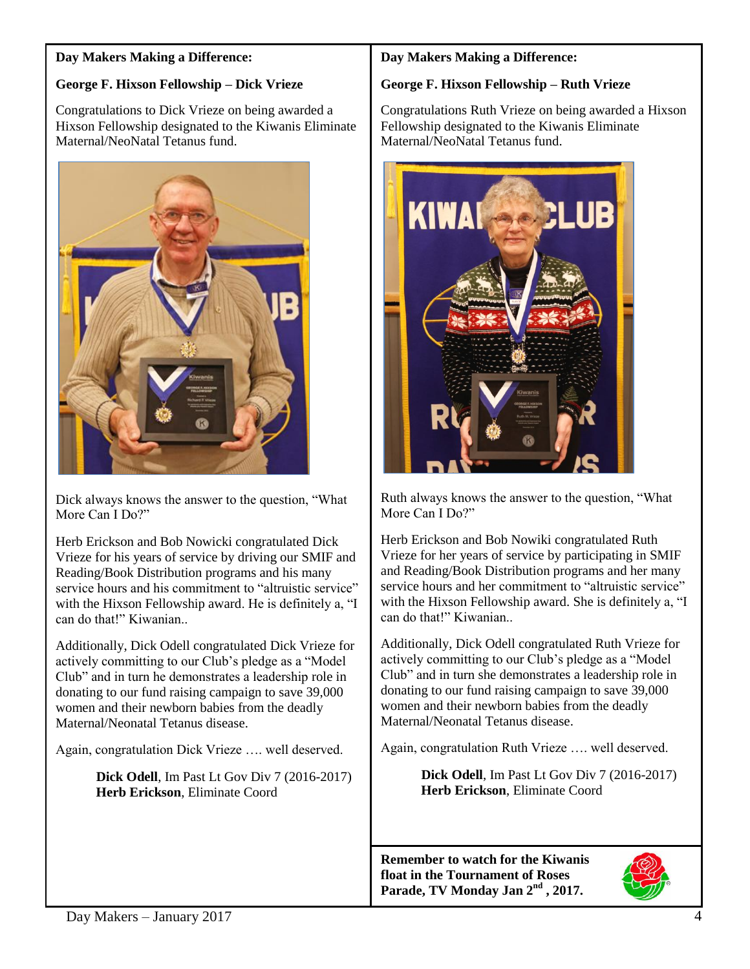### **Day Makers Making a Difference:**

### **George F. Hixson Fellowship – Dick Vrieze**

Congratulations to Dick Vrieze on being awarded a Hixson Fellowship designated to the Kiwanis Eliminate Maternal/NeoNatal Tetanus fund.



Dick always knows the answer to the question, "What More Can I Do?"

Herb Erickson and Bob Nowicki congratulated Dick Vrieze for his years of service by driving our SMIF and Reading/Book Distribution programs and his many service hours and his commitment to "altruistic service" with the Hixson Fellowship award. He is definitely a, "I can do that!" Kiwanian..

Additionally, Dick Odell congratulated Dick Vrieze for actively committing to our Club's pledge as a "Model Club" and in turn he demonstrates a leadership role in donating to our fund raising campaign to save 39,000 women and their newborn babies from the deadly Maternal/Neonatal Tetanus disease.

Again, congratulation Dick Vrieze …. well deserved.

 **Dick Odell**, Im Past Lt Gov Div 7 (2016-2017)  **Herb Erickson**, Eliminate Coord

### **Day Makers Making a Difference:**

### **George F. Hixson Fellowship – Ruth Vrieze**

Congratulations Ruth Vrieze on being awarded a Hixson Fellowship designated to the Kiwanis Eliminate Maternal/NeoNatal Tetanus fund.



Ruth always knows the answer to the question, "What More Can I Do?"

Herb Erickson and Bob Nowiki congratulated Ruth Vrieze for her years of service by participating in SMIF and Reading/Book Distribution programs and her many service hours and her commitment to "altruistic service" with the Hixson Fellowship award. She is definitely a, "I can do that!" Kiwanian..

Additionally, Dick Odell congratulated Ruth Vrieze for actively committing to our Club's pledge as a "Model Club" and in turn she demonstrates a leadership role in donating to our fund raising campaign to save 39,000 women and their newborn babies from the deadly Maternal/Neonatal Tetanus disease.

Again, congratulation Ruth Vrieze …. well deserved.

 **Dick Odell**, Im Past Lt Gov Div 7 (2016-2017)  **Herb Erickson**, Eliminate Coord

**Remember to watch for the Kiwanis float in the Tournament of Roses Parade, TV Monday Jan 2nd , 2017.**

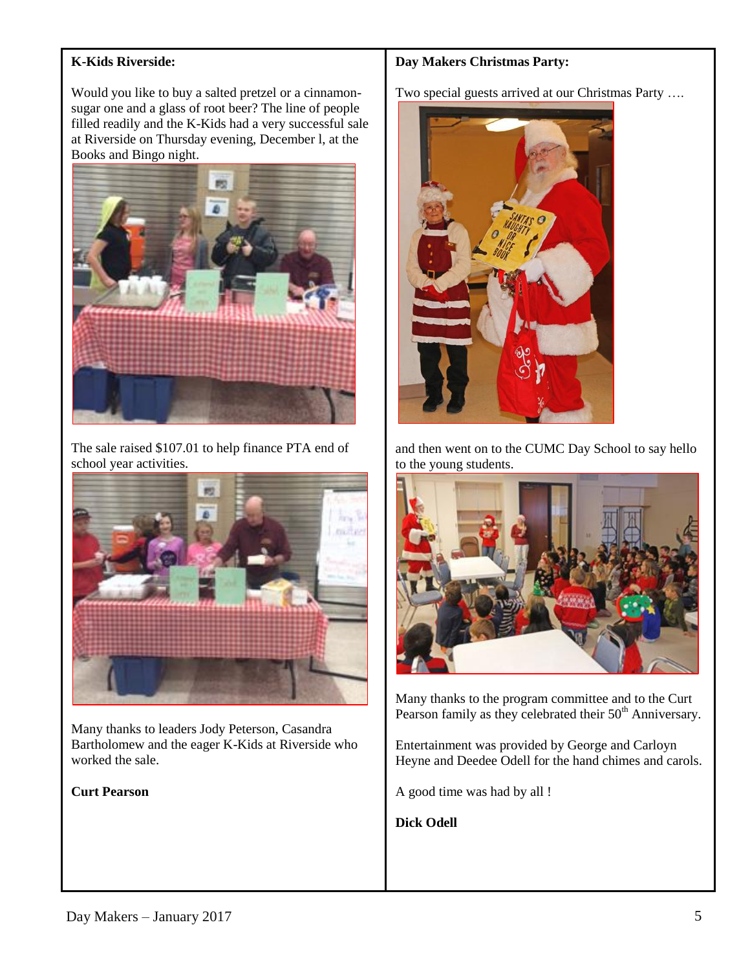# **K-Kids Riverside:**

Would you like to buy a salted pretzel or a cinnamonsugar one and a glass of root beer? The line of people filled readily and the K-Kids had a very successful sale at Riverside on Thursday evening, December l, at the Books and Bingo night.



The sale raised \$107.01 to help finance PTA end of school year activities.



Many thanks to leaders Jody Peterson, Casandra Bartholomew and the eager K-Kids at Riverside who worked the sale.

#### **Curt Pearson**

#### **Day Makers Christmas Party:**

Two special guests arrived at our Christmas Party ….



and then went on to the CUMC Day School to say hello to the young students.



Many thanks to the program committee and to the Curt Pearson family as they celebrated their 50<sup>th</sup> Anniversary.

Entertainment was provided by George and Carloyn Heyne and Deedee Odell for the hand chimes and carols.

A good time was had by all !

**Dick Odell**